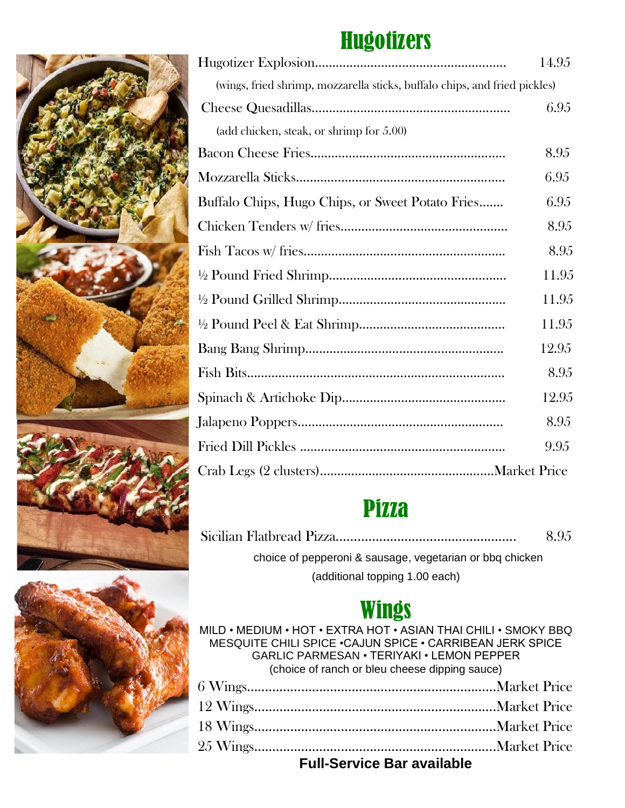# **Hugotizers**

|                                                                            | 14.95 |
|----------------------------------------------------------------------------|-------|
| (wings, fried shrimp, mozzarella sticks, buffalo chips, and fried pickles) |       |
|                                                                            | 6.95  |
| (add chicken, steak, or shrimp for $5.00$ )                                |       |
|                                                                            | 8.95  |
|                                                                            | 6.95  |
| Buffalo Chips, Hugo Chips, or Sweet Potato Fries                           | 6.95  |
|                                                                            | 8.95  |
|                                                                            | 8.95  |
|                                                                            | 11.95 |
|                                                                            | 11.95 |
|                                                                            | 11.95 |
|                                                                            | 12.95 |
|                                                                            | 8.95  |
|                                                                            | 12.95 |
|                                                                            | 8.95  |
|                                                                            | 9.95  |
|                                                                            |       |

## **Pizza**

|                                                          | 8.95 |
|----------------------------------------------------------|------|
| choice of pepperoni & sausage, vegetarian or bbg chicken |      |
| (additional topping 1.00 each)                           |      |

## **Wings**

MILD • MEDIUM • HOT • EXTRA HOT • ASIAN THAI CHILI • SMOKY BBQ MESQUITE CHILI SPICE •CAJUN SPICE • CARRIBEAN JERK SPICE GARLIC PARMESAN • TERIYAKI • LEMON PEPPER (choice of ranch or bleu cheese dipping sauce)

| <b>Full-Service Bar available</b> |  |  |
|-----------------------------------|--|--|

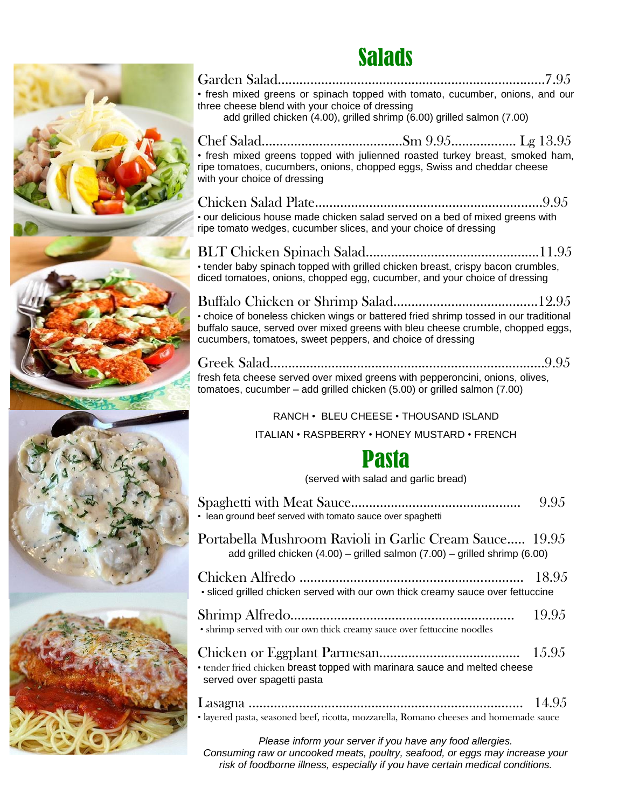### Salads



#### Garden Salad…………………….…………………………………….……7.95 • fresh mixed greens or spinach topped with tomato, cucumber, onions, and our three cheese blend with your choice of dressing add grilled chicken (4.00), grilled shrimp (6.00) grilled salmon (7.00)

Chef Salad…………………………………Sm 9.95……….…….. Lg 13.95 • fresh mixed greens topped with julienned roasted turkey breast, smoked ham, ripe tomatoes, cucumbers, onions, chopped eggs, Swiss and cheddar cheese with your choice of dressing

Chicken Salad Plate………………………………………………………9.95 • our delicious house made chicken salad served on a bed of mixed greens with ripe tomato wedges, cucumber slices, and your choice of dressing

BLT Chicken Spinach Salad…………….................................11.95 • tender baby spinach topped with grilled chicken breast, crispy bacon crumbles, diced tomatoes, onions, chopped egg, cucumber, and your choice of dressing

Buffalo Chicken or Shrimp Salad……………………………..…..12.95 • choice of boneless chicken wings or battered fried shrimp tossed in our traditional buffalo sauce, served over mixed greens with bleu cheese crumble, chopped eggs, cucumbers, tomatoes, sweet peppers, and choice of dressing

Greek Salad…………………………………………………………….……9.95 fresh feta cheese served over mixed greens with pepperoncini, onions, olives, tomatoes, cucumber – add grilled chicken (5.00) or grilled salmon (7.00)

### RANCH • BLEU CHEESE • THOUSAND ISLAND

ITALIAN • RASPBERRY • HONEY MUSTARD • FRENCH

### Pasta

(served with salad and garlic bread)

| • lean ground beef served with tomato sauce over spaghetti                                                                                  | 9.95  |
|---------------------------------------------------------------------------------------------------------------------------------------------|-------|
| Portabella Mushroom Ravioli in Garlic Cream Sauce 19.95<br>add grilled chicken $(4.00)$ – grilled salmon $(7.00)$ – grilled shrimp $(6.00)$ |       |
| · sliced grilled chicken served with our own thick creamy sauce over fettuccine                                                             |       |
| • shrimp served with our own thick creamy sauce over fettuccine noodles                                                                     | 19.95 |
| • tender fried chicken breast topped with marinara sauce and melted cheese<br>served over spagetti pasta                                    |       |
| • layered pasta, seasoned beef, ricotta, mozzarella, Romano cheeses and homemade sauce                                                      |       |

*Please inform your server if you have any food allergies. Consuming raw or uncooked meats, poultry, seafood, or eggs may increase your risk of foodborne illness, especially if you have certain medical conditions.*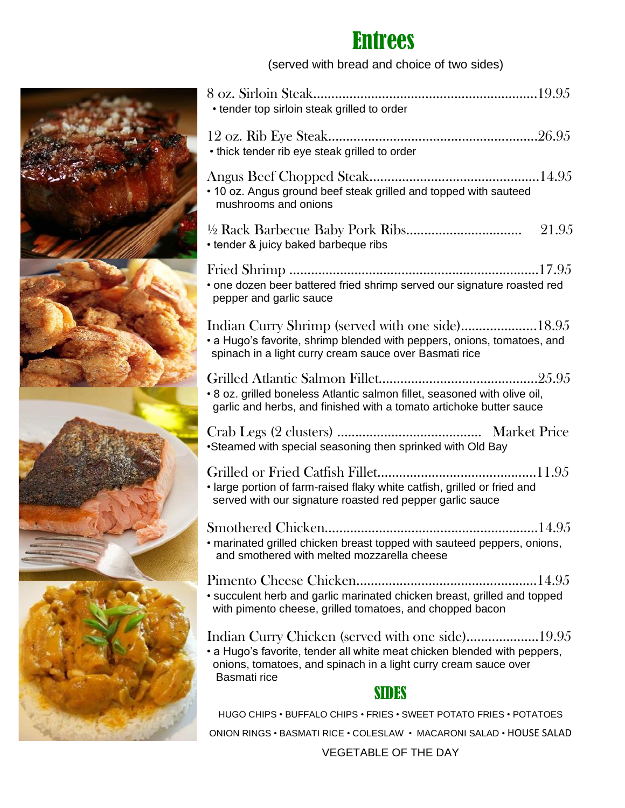### Entrees

(served with bread and choice of two sides)



VEGETABLE OF THE DAY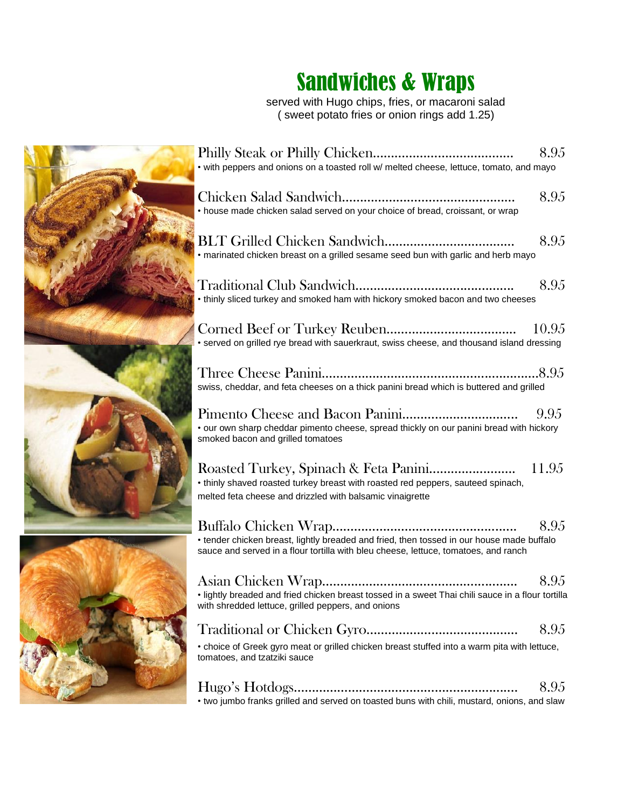## Sandwiches & Wraps

served with Hugo chips, fries, or macaroni salad ( sweet potato fries or onion rings add 1.25)



| • with peppers and onions on a toasted roll w/ melted cheese, lettuce, tomato, and mayo                                                                                          | 8.95  |
|----------------------------------------------------------------------------------------------------------------------------------------------------------------------------------|-------|
| • house made chicken salad served on your choice of bread, croissant, or wrap                                                                                                    | 8.95  |
| • marinated chicken breast on a grilled sesame seed bun with garlic and herb mayo                                                                                                | 8.95  |
| • thinly sliced turkey and smoked ham with hickory smoked bacon and two cheeses                                                                                                  | 8.95  |
| • served on grilled rye bread with sauerkraut, swiss cheese, and thousand island dressing                                                                                        | 10.95 |
| swiss, cheddar, and feta cheeses on a thick panini bread which is buttered and grilled                                                                                           |       |
| • our own sharp cheddar pimento cheese, spread thickly on our panini bread with hickory<br>smoked bacon and grilled tomatoes                                                     | 9.95  |
| • thinly shaved roasted turkey breast with roasted red peppers, sauteed spinach,<br>melted feta cheese and drizzled with balsamic vinaigrette                                    |       |
| • tender chicken breast, lightly breaded and fried, then tossed in our house made buffalo<br>sauce and served in a flour tortilla with bleu cheese, lettuce, tomatoes, and ranch | 8.95  |
| · lightly breaded and fried chicken breast tossed in a sweet Thai chili sauce in a flour tortilla<br>with shredded lettuce, grilled peppers, and onions                          | 8.95  |
|                                                                                                                                                                                  | 8.95  |
| • choice of Greek gyro meat or grilled chicken breast stuffed into a warm pita with lettuce,<br>tomatoes, and tzatziki sauce                                                     |       |
| • two jumbo franks grilled and served on toasted buns with chili, mustard, onions, and slaw                                                                                      | 8.95  |